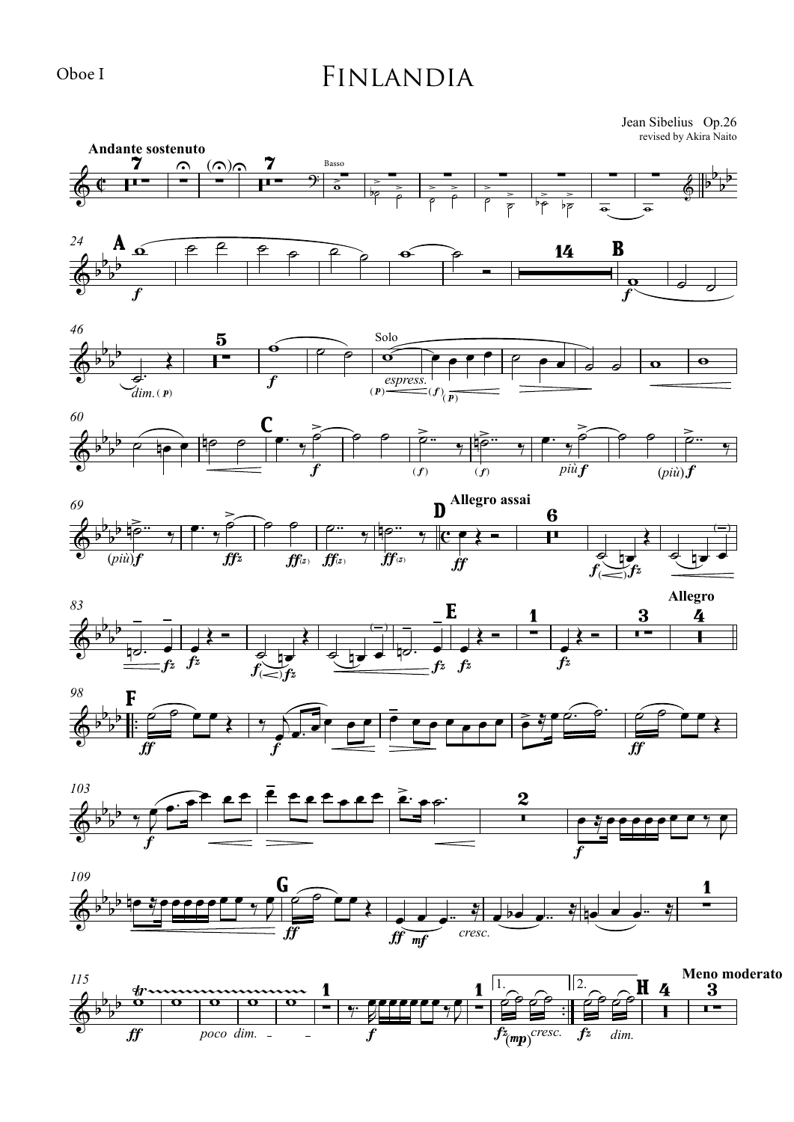## Finlandia

revised by Akira Naito Jean Sibelius Op.26



f

fz<mp> *cresc.* fz *dim.*

ff *poco dim.*

 $\overline{a}$ 

Oboe I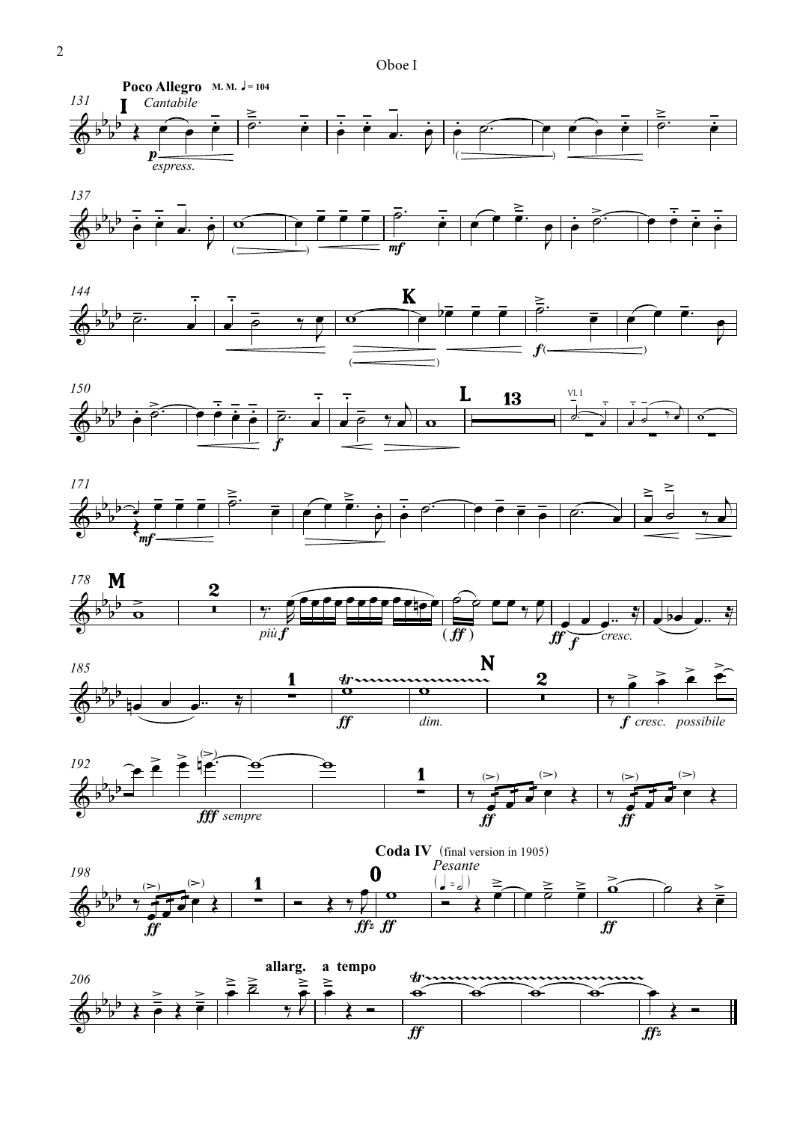Oboe I















![](_page_1_Figure_8.jpeg)

![](_page_1_Figure_9.jpeg)

![](_page_1_Figure_10.jpeg)